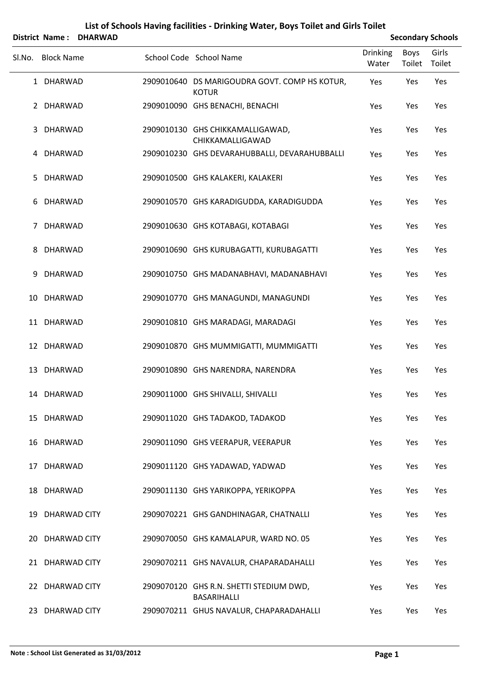|             | <b>District Name:</b> | <b>DHARWAD</b> |                                                               |                          |                | <b>Secondary Schools</b> |
|-------------|-----------------------|----------------|---------------------------------------------------------------|--------------------------|----------------|--------------------------|
| SI.No.      | <b>Block Name</b>     |                | School Code School Name                                       | <b>Drinking</b><br>Water | Boys<br>Toilet | Girls<br>Toilet          |
|             | 1 DHARWAD             |                | 2909010640 DS MARIGOUDRA GOVT. COMP HS KOTUR,<br><b>KOTUR</b> | Yes                      | Yes            | Yes                      |
| $2^{\circ}$ | <b>DHARWAD</b>        |                | 2909010090 GHS BENACHI, BENACHI                               | Yes                      | Yes            | Yes                      |
| 3           | <b>DHARWAD</b>        |                | 2909010130 GHS CHIKKAMALLIGAWAD,<br>CHIKKAMALLIGAWAD          | Yes                      | Yes            | Yes                      |
| 4           | <b>DHARWAD</b>        |                | 2909010230 GHS DEVARAHUBBALLI, DEVARAHUBBALLI                 | Yes                      | Yes            | Yes                      |
| 5           | <b>DHARWAD</b>        |                | 2909010500 GHS KALAKERI, KALAKERI                             | Yes                      | Yes            | Yes                      |
| 6           | <b>DHARWAD</b>        |                | 2909010570 GHS KARADIGUDDA, KARADIGUDDA                       | Yes                      | Yes            | Yes                      |
| 7           | <b>DHARWAD</b>        |                | 2909010630 GHS KOTABAGI, KOTABAGI                             | Yes                      | Yes            | Yes                      |
| 8           | <b>DHARWAD</b>        |                | 2909010690 GHS KURUBAGATTI, KURUBAGATTI                       | Yes                      | Yes            | Yes                      |
| 9           | <b>DHARWAD</b>        |                | 2909010750 GHS MADANABHAVI, MADANABHAVI                       | Yes                      | Yes            | Yes                      |
| 10          | <b>DHARWAD</b>        |                | 2909010770 GHS MANAGUNDI, MANAGUNDI                           | Yes                      | Yes            | Yes                      |
| 11          | <b>DHARWAD</b>        |                | 2909010810 GHS MARADAGI, MARADAGI                             | Yes                      | Yes            | Yes                      |
|             | 12 DHARWAD            |                | 2909010870 GHS MUMMIGATTI, MUMMIGATTI                         | Yes                      | Yes            | Yes                      |
| 13          | <b>DHARWAD</b>        |                | 2909010890 GHS NARENDRA, NARENDRA                             | Yes                      | Yes            | Yes                      |
|             | 14 DHARWAD            |                | 2909011000 GHS SHIVALLI, SHIVALLI                             | Yes                      | Yes            | Yes                      |
|             | 15 DHARWAD            |                | 2909011020 GHS TADAKOD, TADAKOD                               | Yes                      | Yes            | Yes                      |
|             | 16 DHARWAD            |                | 2909011090 GHS VEERAPUR, VEERAPUR                             | Yes                      | Yes            | Yes                      |
|             | 17 DHARWAD            |                | 2909011120 GHS YADAWAD, YADWAD                                | Yes                      | Yes            | Yes                      |
|             | 18 DHARWAD            |                | 2909011130 GHS YARIKOPPA, YERIKOPPA                           | Yes                      | Yes            | Yes                      |
|             | 19 DHARWAD CITY       |                | 2909070221 GHS GANDHINAGAR, CHATNALLI                         | Yes                      | Yes            | Yes                      |
|             | 20 DHARWAD CITY       |                | 2909070050 GHS KAMALAPUR, WARD NO. 05                         | Yes                      | Yes            | Yes                      |
|             | 21 DHARWAD CITY       |                | 2909070211 GHS NAVALUR, CHAPARADAHALLI                        | Yes                      | Yes            | Yes                      |
|             | 22 DHARWAD CITY       |                | 2909070120 GHS R.N. SHETTI STEDIUM DWD,<br>BASARIHALLI        | Yes                      | Yes            | Yes                      |
|             | 23 DHARWAD CITY       |                | 2909070211 GHUS NAVALUR, CHAPARADAHALLI                       | Yes                      | Yes            | Yes                      |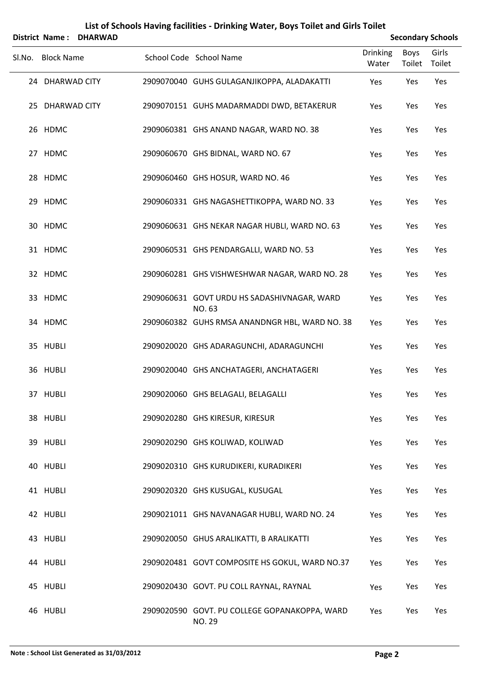|        | District Name:    | <b>DHARWAD</b> |                                                         |                          |                       | <b>Secondary Schools</b> |
|--------|-------------------|----------------|---------------------------------------------------------|--------------------------|-----------------------|--------------------------|
| Sl.No. | <b>Block Name</b> |                | School Code School Name                                 | <b>Drinking</b><br>Water | <b>Boys</b><br>Toilet | Girls<br>Toilet          |
|        | 24 DHARWAD CITY   |                | 2909070040 GUHS GULAGANJIKOPPA, ALADAKATTI              | Yes                      | Yes                   | Yes                      |
|        | 25 DHARWAD CITY   |                | 2909070151 GUHS MADARMADDI DWD, BETAKERUR               | Yes                      | Yes                   | Yes                      |
|        | 26 HDMC           |                | 2909060381 GHS ANAND NAGAR, WARD NO. 38                 | Yes                      | Yes                   | Yes                      |
|        | 27 HDMC           |                | 2909060670 GHS BIDNAL, WARD NO. 67                      | Yes                      | Yes                   | Yes                      |
|        | 28 HDMC           |                | 2909060460 GHS HOSUR, WARD NO. 46                       | Yes                      | Yes                   | Yes                      |
|        | 29 HDMC           |                | 2909060331 GHS NAGASHETTIKOPPA, WARD NO. 33             | Yes                      | Yes                   | Yes                      |
|        | 30 HDMC           |                | 2909060631 GHS NEKAR NAGAR HUBLI, WARD NO. 63           | Yes                      | Yes                   | Yes                      |
|        | 31 HDMC           |                | 2909060531 GHS PENDARGALLI, WARD NO. 53                 | Yes                      | Yes                   | Yes                      |
|        | 32 HDMC           |                | 2909060281 GHS VISHWESHWAR NAGAR, WARD NO. 28           | Yes                      | Yes                   | Yes                      |
|        | 33 HDMC           |                | 2909060631 GOVT URDU HS SADASHIVNAGAR, WARD<br>NO. 63   | Yes                      | Yes                   | Yes                      |
|        | 34 HDMC           |                | 2909060382 GUHS RMSA ANANDNGR HBL, WARD NO. 38          | Yes                      | Yes                   | Yes                      |
|        | 35 HUBLI          |                | 2909020020 GHS ADARAGUNCHI, ADARAGUNCHI                 | Yes                      | Yes                   | Yes                      |
|        | 36 HUBLI          |                | 2909020040 GHS ANCHATAGERI, ANCHATAGERI                 | Yes                      | Yes                   | Yes                      |
|        | 37 HUBLI          |                | 2909020060 GHS BELAGALI, BELAGALLI                      | Yes                      | Yes                   | Yes                      |
|        | 38 HUBLI          |                | 2909020280 GHS KIRESUR, KIRESUR                         | Yes                      | Yes                   | Yes                      |
|        | 39 HUBLI          |                | 2909020290 GHS KOLIWAD, KOLIWAD                         | Yes                      | Yes                   | Yes                      |
|        | 40 HUBLI          |                | 2909020310 GHS KURUDIKERI, KURADIKERI                   | Yes                      | Yes                   | Yes                      |
|        | 41 HUBLI          |                | 2909020320 GHS KUSUGAL, KUSUGAL                         | Yes                      | Yes                   | Yes                      |
|        | 42 HUBLI          |                | 2909021011 GHS NAVANAGAR HUBLI, WARD NO. 24             | Yes                      | Yes                   | Yes                      |
|        | 43 HUBLI          |                | 2909020050 GHUS ARALIKATTI, B ARALIKATTI                | Yes                      | Yes                   | Yes                      |
|        | 44 HUBLI          |                | 2909020481 GOVT COMPOSITE HS GOKUL, WARD NO.37          | Yes                      | Yes                   | Yes                      |
|        | 45 HUBLI          |                | 2909020430 GOVT. PU COLL RAYNAL, RAYNAL                 | Yes                      | Yes                   | Yes                      |
|        | 46 HUBLI          |                | 2909020590 GOVT. PU COLLEGE GOPANAKOPPA, WARD<br>NO. 29 | Yes                      | Yes                   | Yes                      |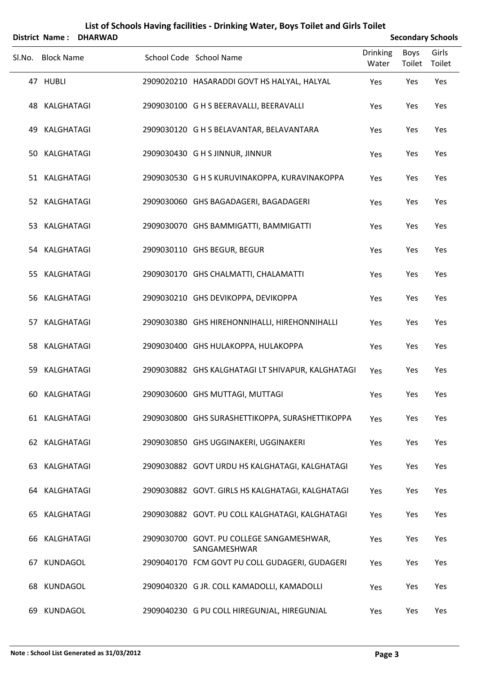|        | <b>District Name:</b> | <b>DHARWAD</b> |                                                           | <b>Secondary Schools</b> |                |                 |
|--------|-----------------------|----------------|-----------------------------------------------------------|--------------------------|----------------|-----------------|
| SI.No. | <b>Block Name</b>     |                | School Code School Name                                   | Drinking<br>Water        | Boys<br>Toilet | Girls<br>Toilet |
|        | 47 HUBLI              |                | 2909020210 HASARADDI GOVT HS HALYAL, HALYAL               | Yes                      | Yes            | Yes             |
| 48     | KALGHATAGI            |                | 2909030100 G H S BEERAVALLI, BEERAVALLI                   | Yes                      | Yes            | Yes             |
| 49     | KALGHATAGI            |                | 2909030120 G H S BELAVANTAR, BELAVANTARA                  | Yes                      | Yes            | Yes             |
| 50     | KALGHATAGI            |                | 2909030430 G H S JINNUR, JINNUR                           | Yes                      | Yes            | Yes             |
|        | 51 KALGHATAGI         |                | 2909030530 G H S KURUVINAKOPPA, KURAVINAKOPPA             | Yes                      | Yes            | Yes             |
|        | 52 KALGHATAGI         |                | 2909030060 GHS BAGADAGERI, BAGADAGERI                     | Yes                      | Yes            | Yes             |
|        | 53 KALGHATAGI         |                | 2909030070 GHS BAMMIGATTI, BAMMIGATTI                     | Yes                      | Yes            | Yes             |
|        | 54 KALGHATAGI         |                | 2909030110 GHS BEGUR, BEGUR                               | Yes                      | Yes            | Yes             |
| 55.    | KALGHATAGI            |                | 2909030170 GHS CHALMATTI, CHALAMATTI                      | Yes                      | Yes            | Yes             |
| 56     | KALGHATAGI            |                | 2909030210 GHS DEVIKOPPA, DEVIKOPPA                       | Yes                      | Yes            | Yes             |
| 57     | KALGHATAGI            |                | 2909030380 GHS HIREHONNIHALLI, HIREHONNIHALLI             | Yes                      | Yes            | Yes             |
| 58     | KALGHATAGI            |                | 2909030400 GHS HULAKOPPA, HULAKOPPA                       | Yes                      | Yes            | Yes             |
| 59     | KALGHATAGI            |                | 2909030882 GHS KALGHATAGI LT SHIVAPUR, KALGHATAGI         | Yes                      | Yes            | Yes             |
|        | 60 KALGHATAGI         |                | 2909030600 GHS MUTTAGI, MUTTAGI                           | Yes                      | Yes            | Yes             |
|        | 61 KALGHATAGI         |                | 2909030800 GHS SURASHETTIKOPPA, SURASHETTIKOPPA           | Yes                      | Yes            | Yes             |
|        | 62 KALGHATAGI         |                | 2909030850 GHS UGGINAKERI, UGGINAKERI                     | Yes                      | Yes            | Yes             |
|        | 63 KALGHATAGI         |                | 2909030882 GOVT URDU HS KALGHATAGI, KALGHATAGI            | Yes                      | Yes            | Yes             |
|        | 64 KALGHATAGI         |                | 2909030882 GOVT. GIRLS HS KALGHATAGI, KALGHATAGI          | Yes                      | Yes            | Yes             |
| 65     | KALGHATAGI            |                | 2909030882 GOVT. PU COLL KALGHATAGI, KALGHATAGI           | Yes                      | Yes            | Yes             |
| 66     | KALGHATAGI            |                | 2909030700 GOVT. PU COLLEGE SANGAMESHWAR,<br>SANGAMESHWAR | Yes                      | Yes            | Yes             |
| 67     | KUNDAGOL              |                | 2909040170 FCM GOVT PU COLL GUDAGERI, GUDAGERI            | Yes                      | Yes            | Yes             |
| 68     | KUNDAGOL              |                | 2909040320 G JR. COLL KAMADOLLI, KAMADOLLI                | Yes                      | Yes            | Yes             |
| 69     | KUNDAGOL              |                | 2909040230 G PU COLL HIREGUNJAL, HIREGUNJAL               | Yes                      | Yes            | Yes             |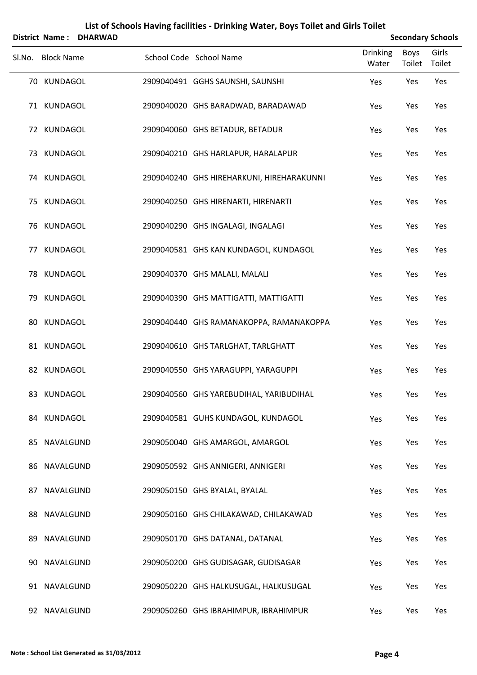|        |                   | <b>District Name: DHARWAD</b> |                                           | <b>Secondary Schools</b> |                |                 |
|--------|-------------------|-------------------------------|-------------------------------------------|--------------------------|----------------|-----------------|
| SI.No. | <b>Block Name</b> |                               | School Code School Name                   | Drinking<br>Water        | Boys<br>Toilet | Girls<br>Toilet |
|        | 70 KUNDAGOL       |                               | 2909040491 GGHS SAUNSHI, SAUNSHI          | Yes                      | Yes            | Yes             |
|        | 71 KUNDAGOL       |                               | 2909040020 GHS BARADWAD, BARADAWAD        | Yes                      | Yes            | Yes             |
|        | 72 KUNDAGOL       |                               | 2909040060 GHS BETADUR, BETADUR           | Yes                      | Yes            | Yes             |
|        | 73 KUNDAGOL       |                               | 2909040210 GHS HARLAPUR, HARALAPUR        | Yes                      | Yes            | Yes             |
|        | 74 KUNDAGOL       |                               | 2909040240 GHS HIREHARKUNI, HIREHARAKUNNI | Yes                      | Yes            | Yes             |
|        | 75 KUNDAGOL       |                               | 2909040250 GHS HIRENARTI, HIRENARTI       | Yes                      | Yes            | Yes             |
|        | 76 KUNDAGOL       |                               | 2909040290 GHS INGALAGI, INGALAGI         | Yes                      | Yes            | Yes             |
|        | 77 KUNDAGOL       |                               | 2909040581 GHS KAN KUNDAGOL, KUNDAGOL     | Yes                      | Yes            | Yes             |
|        | 78 KUNDAGOL       |                               | 2909040370 GHS MALALI, MALALI             | Yes                      | Yes            | Yes             |
|        | 79 KUNDAGOL       |                               | 2909040390 GHS MATTIGATTI, MATTIGATTI     | Yes                      | Yes            | Yes             |
| 80     | KUNDAGOL          |                               | 2909040440 GHS RAMANAKOPPA, RAMANAKOPPA   | Yes                      | Yes            | Yes             |
|        | 81 KUNDAGOL       |                               | 2909040610 GHS TARLGHAT, TARLGHATT        | Yes                      | Yes            | Yes             |
|        | 82 KUNDAGOL       |                               | 2909040550 GHS YARAGUPPI, YARAGUPPI       | Yes                      | Yes            | Yes             |
|        | 83 KUNDAGOL       |                               | 2909040560 GHS YAREBUDIHAL, YARIBUDIHAL   | Yes                      | Yes            | Yes             |
|        | 84 KUNDAGOL       |                               | 2909040581 GUHS KUNDAGOL, KUNDAGOL        | Yes                      | Yes            | Yes             |
|        | 85 NAVALGUND      |                               | 2909050040 GHS AMARGOL, AMARGOL           | Yes                      | Yes            | Yes             |
|        | 86 NAVALGUND      |                               | 2909050592 GHS ANNIGERI, ANNIGERI         | Yes                      | Yes            | Yes             |
|        | 87 NAVALGUND      |                               | 2909050150 GHS BYALAL, BYALAL             | Yes                      | Yes            | Yes             |
|        | 88 NAVALGUND      |                               | 2909050160 GHS CHILAKAWAD, CHILAKAWAD     | Yes                      | Yes            | Yes             |
|        | 89 NAVALGUND      |                               | 2909050170 GHS DATANAL, DATANAL           | Yes                      | Yes            | Yes             |
|        | 90 NAVALGUND      |                               | 2909050200 GHS GUDISAGAR, GUDISAGAR       | Yes                      | Yes            | Yes             |
|        | 91 NAVALGUND      |                               | 2909050220 GHS HALKUSUGAL, HALKUSUGAL     | Yes                      | Yes            | Yes             |
|        | 92 NAVALGUND      |                               | 2909050260 GHS IBRAHIMPUR, IBRAHIMPUR     | Yes                      | Yes            | Yes             |